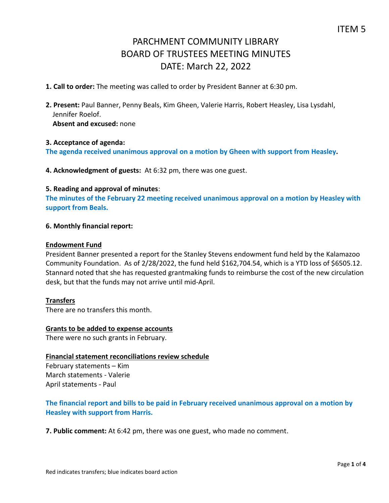- **1. Call to order:** The meeting was called to order by President Banner at 6:30 pm.
- **2. Present:** Paul Banner, Penny Beals, Kim Gheen, Valerie Harris, Robert Heasley, Lisa Lysdahl, Jennifer Roelof.

**Absent and excused:** none

#### **3. Acceptance of agenda:**

**The agenda received unanimous approval on a motion by Gheen with support from Heasley.**

**4. Acknowledgment of guests:** At 6:32 pm, there was one guest.

#### **5. Reading and approval of minutes**:

**The minutes of the February 22 meeting received unanimous approval on a motion by Heasley with support from Beals.**

#### **6. Monthly financial report:**

#### **Endowment Fund**

President Banner presented a report for the Stanley Stevens endowment fund held by the Kalamazoo Community Foundation. As of 2/28/2022, the fund held \$162,704.54, which is a YTD loss of \$6505.12. Stannard noted that she has requested grantmaking funds to reimburse the cost of the new circulation desk, but that the funds may not arrive until mid-April.

## **Transfers**

There are no transfers this month.

#### **Grants to be added to expense accounts**

There were no such grants in February.

## **Financial statement reconciliations review schedule**

February statements – Kim March statements - Valerie April statements - Paul

## **The financial report and bills to be paid in February received unanimous approval on a motion by Heasley with support from Harris.**

**7. Public comment:** At 6:42 pm, there was one guest, who made no comment.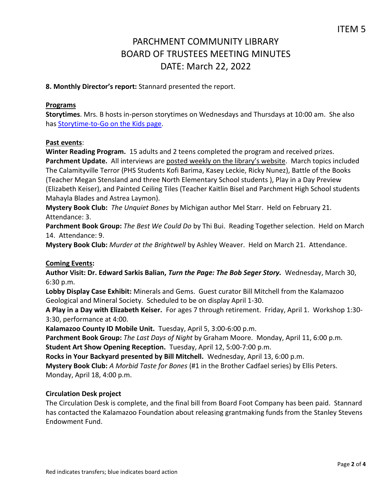**8. Monthly Director's report:** Stannard presented the report.

#### **Programs**

**Storytimes**. Mrs. B hosts in-person storytimes on Wednesdays and Thursdays at 10:00 am. She also has [Storytime-to-Go on the Kids page.](https://www.parchmentlibrary.org/storytimes-programs)

#### **Past events**:

**Winter Reading Program.** 15 adults and 2 teens completed the program and received prizes. **Parchment Update.** All interviews are [posted weekly on the library's website](https://www.parchmentlibrary.org/parchment-update). March topics included The Calamityville Terror (PHS Students Kofi Barima, Kasey Leckie, Ricky Nunez), Battle of the Books (Teacher Megan Stensland and three North Elementary School students ), Play in a Day Preview (Elizabeth Keiser), and Painted Ceiling Tiles (Teacher Kaitlin Bisel and Parchment High School students Mahayla Blades and Astrea Laymon).

**Mystery Book Club:** *The Unquiet Bones* by Michigan author Mel Starr. Held on February 21. Attendance: 3.

**Parchment Book Group:** *The Best We Could Do* by Thi Bui. Reading Together selection. Held on March 14. Attendance: 9.

**Mystery Book Club:** *Murder at the Brightwell* by Ashley Weaver. Held on March 21. Attendance.

## **Coming Events:**

**Author Visit: Dr. Edward Sarkis Balian,** *Turn the Page: The Bob Seger Story.* Wednesday, March 30, 6:30 p.m.

**Lobby Display Case Exhibit:** Minerals and Gems. Guest curator Bill Mitchell from the Kalamazoo Geological and Mineral Society. Scheduled to be on display April 1-30.

**A Play in a Day with Elizabeth Keiser.** For ages 7 through retirement.Friday, April 1.Workshop 1:30- 3:30, performance at 4:00.

**Kalamazoo County ID Mobile Unit.** Tuesday, April 5, 3:00-6:00 p.m.

**Parchment Book Group:** *The Last Days of Night* by Graham Moore. Monday, April 11, 6:00 p.m.

**Student Art Show Opening Reception.** Tuesday, April 12, 5:00-7:00 p.m.

**Rocks in Your Backyard presented by Bill Mitchell.** Wednesday, April 13, 6:00 p.m.

**Mystery Book Club:** *A Morbid Taste for Bones* (#1 in the Brother Cadfael series) by Ellis Peters. Monday, April 18, 4:00 p.m.

#### **Circulation Desk project**

The Circulation Desk is complete, and the final bill from Board Foot Company has been paid. Stannard has contacted the Kalamazoo Foundation about releasing grantmaking funds from the Stanley Stevens Endowment Fund.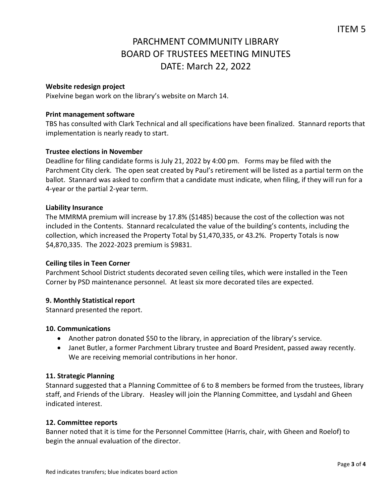## **Website redesign project**

Pixelvine began work on the library's website on March 14.

#### **Print management software**

TBS has consulted with Clark Technical and all specifications have been finalized. Stannard reports that implementation is nearly ready to start.

## **Trustee elections in November**

Deadline for filing candidate forms is July 21, 2022 by 4:00 pm. Forms may be filed with the Parchment City clerk. The open seat created by Paul's retirement will be listed as a partial term on the ballot. Stannard was asked to confirm that a candidate must indicate, when filing, if they will run for a 4-year or the partial 2-year term.

#### **Liability Insurance**

The MMRMA premium will increase by 17.8% (\$1485) because the cost of the collection was not included in the Contents. Stannard recalculated the value of the building's contents, including the collection, which increased the Property Total by \$1,470,335, or 43.2%. Property Totals is now \$4,870,335. The 2022-2023 premium is \$9831.

#### **Ceiling tiles in Teen Corner**

Parchment School District students decorated seven ceiling tiles, which were installed in the Teen Corner by PSD maintenance personnel. At least six more decorated tiles are expected.

## **9. Monthly Statistical report**

Stannard presented the report.

#### **10. Communications**

- Another patron donated \$50 to the library, in appreciation of the library's service.
- Janet Butler, a former Parchment Library trustee and Board President, passed away recently. We are receiving memorial contributions in her honor.

#### **11. Strategic Planning**

Stannard suggested that a Planning Committee of 6 to 8 members be formed from the trustees, library staff, and Friends of the Library. Heasley will join the Planning Committee, and Lysdahl and Gheen indicated interest.

#### **12. Committee reports**

Banner noted that it is time for the Personnel Committee (Harris, chair, with Gheen and Roelof) to begin the annual evaluation of the director.